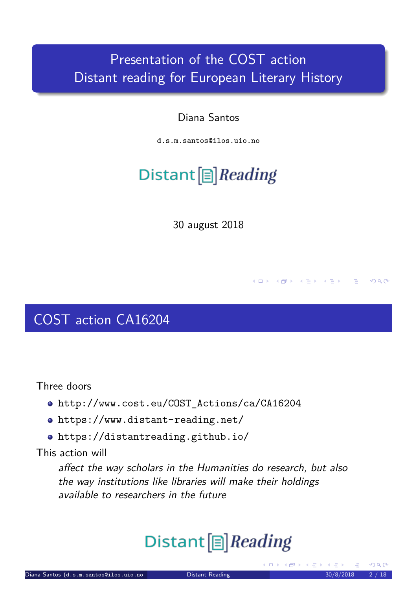#### Presentation of the COST action Distant reading for European Literary History

#### Diana Santos

d.s.m.santos@ilos.uio.no

# Distant  $[\equiv]$  Reading

30 august 2018

COST action CA16204

Three doors

- http://www.cost.eu/COST\_Actions/ca/CA16204
- https://www.distant-reading.net/
- https://distantreading.github.io/

This action will

<span id="page-0-1"></span>[affect the way scholars in the](http://www.cost.eu/COST_Actions/ca/CA16204) Humanities do research, but also [the way institutions l](https://www.distant-reading.net/)ike libraries will make their holdings [available to researche](https://distantreading.github.io/)rs in the future

# Distant<sup>[</sup>]*Reading*

<span id="page-0-0"></span>(ロ) (倒)

4 ロ ト イ団 ト マ ヨ ト マ ヨ ト ニ ヨ

 $QQQ$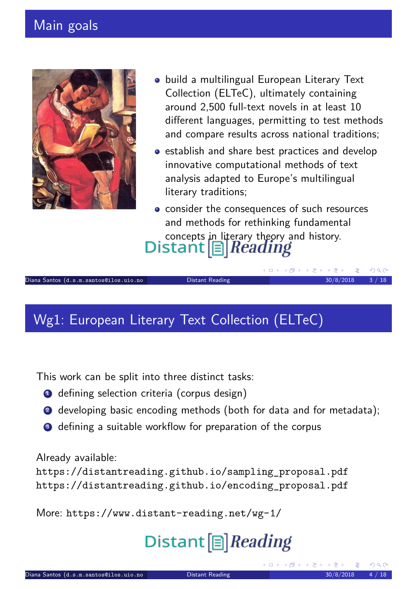#### Main goals



- **•** build a multilingual European Literary Text Collection (ELTeC), ultimately containing around 2,500 full-text novels in at least 10 different languages, permitting to test methods and compare results across national traditions;
- **•** establish and share best practices and develop innovative computational methods of text analysis adapted to Europe's multilingual literary traditions;

• consider the consequences of such resources and methods for rethinking fundamental concepts in literary theory and history.<br>Distant  $\boxed{\equiv}$  *Reading* 

K ロ ▶ K 御 ▶ K 重 ▶ K 重 ▶

#### Wg1: European Literary Text Collection (ELTeC)

This work can be split into three distinct tasks:

- **1** defining selection criteria (corpus design)
- 2 developing basic encoding methods (both for data and for metadata);

Diana Santos (d.s.m.santos@ilos.uio.no Distant Reading 30/8/2018 3 / 18

<sup>3</sup> defining a suitable workflow for preparation of the corpus

Already available:

https://distantreading.github.io/sampling\_proposal.pdf https://distantreading.github.io/encoding\_proposal.pdf

<span id="page-1-0"></span>More: [https://www.distant-reading.](https://distantreading.github.io/sampling_proposal.pdf)net/wg-1/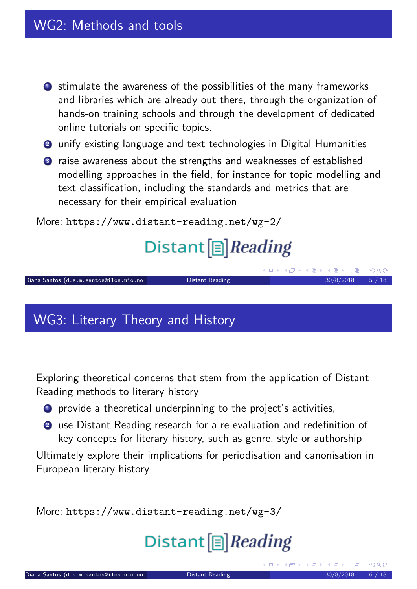- <sup>1</sup> stimulate the awareness of the possibilities of the many frameworks and libraries which are already out there, through the organization of hands-on training schools and through the development of dedicated online tutorials on specific topics.
- 2 unify existing language and text technologies in Digital Humanities
- <sup>3</sup> raise awareness about the strengths and weaknesses of established modelling approaches in the field, for instance for topic modelling and text classification, including the standards and metrics that are necessary for their empirical evaluation

More: https://www.distant-reading.net/wg-2/

## Distant<sup>[</sup>]*Reading*

|                                        |                 | ベロアベログ ベモア ベモア ニモーソベい |  |
|----------------------------------------|-----------------|-----------------------|--|
| Diana Santos (d.s.m.santos@ilos.uio.no | Distant Reading | $30/8/2018$ 5 / 18    |  |

#### WG3: Literary Theory and History

Exploring theoretical concerns that stem from the application of Distant Reading methods to literary history

- **1** provide a theoretical underpinning to the project's activities,
- <sup>2</sup> use Distant Reading research for a re-evaluation and redefinition of key concepts for literary history, such as genre, style or authorship

Ultimately explore their implications for periodisation and canonisation in European literary history

<span id="page-2-0"></span>More: https://www.distant-reading.net/wg-3/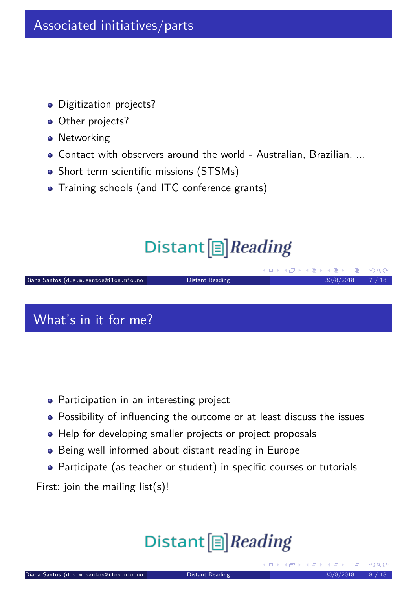- **•** Digitization projects?
- Other projects?
- **•** Networking
- Contact with observers around the world Australian, Brazilian, ...
- Short term scientific missions (STSMs)
- Training schools (and ITC conference grants)

## Distant<sup>[</sup>]*Reading*

#### ◀ㅁ▶ ◀@▶ ◀돋▶ ◀퉁▶ Diana Santos (d.s.m.santos@ilos.uio.no Distant Reading ) 30/8/2018 7 / 18

What's in it for me?

- **•** Participation in an interesting project
- Possibility of influencing the outcome or at least discuss the issues
- Help for developing smaller projects or project proposals
- Being well informed about distant reading in Europe
- Participate (as teacher or student) in specific courses or tutorials

<span id="page-3-0"></span>First: join the mailing list(s)!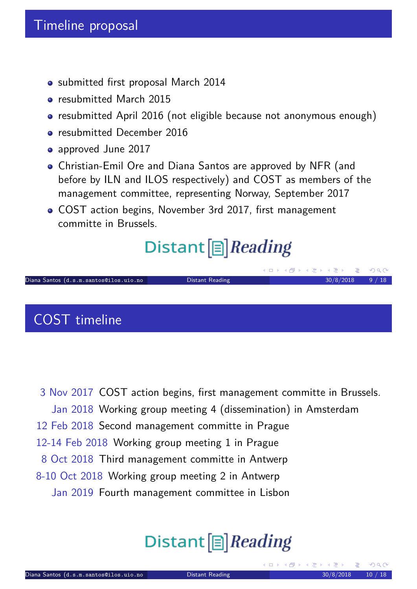- submitted first proposal March 2014
- **•** resubmitted March 2015
- resubmitted April 2016 (not eligible because not anonymous enough)
- **•** resubmitted December 2016
- approved June 2017
- Christian-Emil Ore and Diana Santos are approved by NFR (and before by ILN and ILOS respectively) and COST as members of the management committee, representing Norway, September 2017
- COST action begins, November 3rd 2017, first management committe in Brussels.

## Distant  $[\equiv]$  Reading

|                                        |                 |  | $\mathcal{A} \Box \rightarrow \mathcal{A} \Box \rightarrow \mathcal{A} \equiv \mathcal{A} \rightarrow \mathcal{A} \equiv \mathcal{A} \rightarrow \mathcal{A} \Box \rightarrow \mathcal{A}$ |  |
|----------------------------------------|-----------------|--|--------------------------------------------------------------------------------------------------------------------------------------------------------------------------------------------|--|
| Diana Santos (d.s.m.santos@ilos.uio.no | Distant Reading |  | $30/8/2018$ 9 / 18                                                                                                                                                                         |  |
|                                        |                 |  |                                                                                                                                                                                            |  |

### COST timeline

<span id="page-4-0"></span>3 Nov 2017 COST action begins, first management committe in Brussels. Jan 2018 Working group meeting 4 (dissemination) in Amsterdam 12 Feb 2018 Second management committe in Prague 12-14 Feb 2018 Working group meeting 1 in Prague 8 Oct 2018 Third management committe in Antwerp 8-10 Oct 2018 Working group meeting 2 in Antwerp Jan 2019 Fourth management committee in Lisbon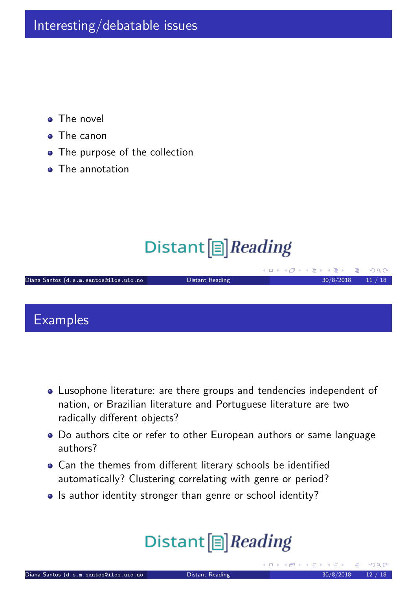- The novel  $\bullet$
- The canon
- The purpose of the collection
- The annotation

## Distant  $[\equiv]$  Reading

|                                        |                 | 그 지수는 어떻게 되어 있는 것 같은데요. 그 사람들은 그 사람들이 없어 보고 있다. |       |
|----------------------------------------|-----------------|-------------------------------------------------|-------|
| Diana Santos (d.s.m.santos@ilos.uio.no | Distant Reading | 30/8/2018                                       | 11/18 |
|                                        |                 |                                                 |       |
|                                        |                 |                                                 |       |
|                                        |                 |                                                 |       |

#### **Examples**

- Lusophone literature: are there groups and tendencies independent of nation, or Brazilian literature and Portuguese literature are two radically different objects?
- Do authors cite or refer to other European authors or same language authors?
- Can the themes from different literary schools be identified automatically? Clustering correlating with genre or period?
- Is author identity stronger than genre or school identity?

# <span id="page-5-0"></span>Distant<sup>[</sup>]Reading

 $4.50 \times 4.75 \times 4.75 \times$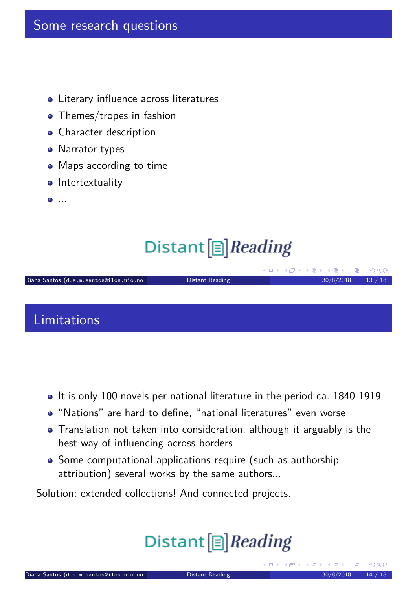#### Some research questions

- Literary influence across literatures
- Themes/tropes in fashion
- Character description
- Narrator types
- Maps according to time
- **o** Intertextuality
- ...

## Distant  $[\equiv]$  Reading

|                                        |                 | ペロアペロアメモア ペモア ニモーソベ(Y) |       |
|----------------------------------------|-----------------|------------------------|-------|
| Diana Santos (d.s.m.santos@ilos.uio.no | Distant Reading | 30/8/2018              | 13/18 |
|                                        |                 |                        |       |
|                                        |                 |                        |       |

Limitations

- It is only 100 novels per national literature in the period ca. 1840-1919
- "Nations" are hard to define, "national literatures" even worse
- Translation not taken into consideration, although it arguably is the best way of influencing across borders
- Some computational applications require (such as authorship attribution) several works by the same authors...

<span id="page-6-0"></span>Solution: extended collections! And connected projects.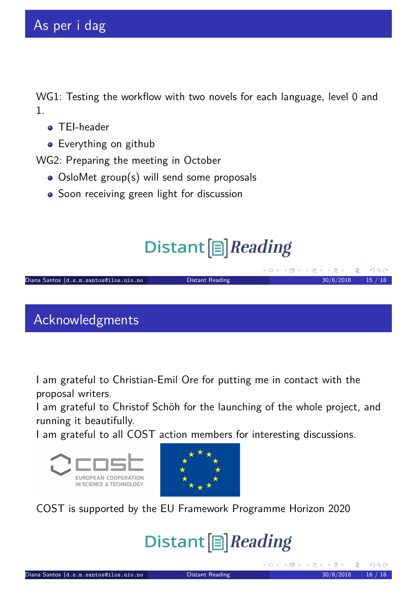WG1: Testing the workflow with two novels for each language, level 0 and 1.

- **O** TFI-header
- **•** Everything on github

WG2: Preparing the meeting in October

- OsloMet group(s) will send some proposals
- Soon receiving green light for discussion

## Distant  $[\equiv]$  Reading

| Distant Reading | 30/8/2018 | 15/18                               |
|-----------------|-----------|-------------------------------------|
|                 |           |                                     |
|                 |           |                                     |
|                 |           |                                     |
|                 |           | KID ▶ KINPIN KIEIN KIEIN DE LY)Q(YI |

Acknowledgments

I am grateful to Christian-Emil Ore for putting me in contact with the proposal writers.

I am grateful to Christof Schöh for the launching of the whole project, and running it beautifully.

I am grateful to all COST action members for interesting discussions.



<span id="page-7-0"></span>

COST is supported by the EU Framework Programme Horizon 2020